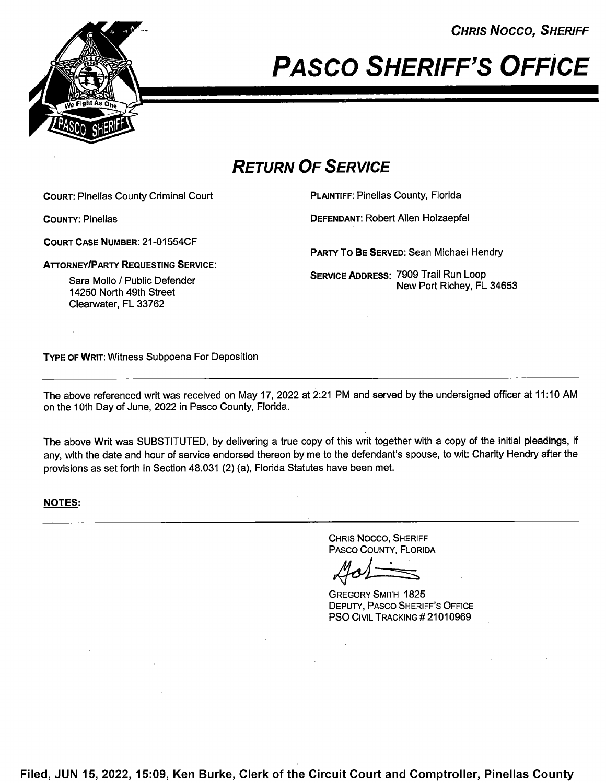**CHRIS NOCCO, SHERIFF** 



PASCO SHERIFF'S OFFICE

## RETURN OF SERVICE

COURT: Pinellas County Criminal Court **PLAINTIFF: Pinellas County, Florida** 

COURT CASE NUMBER: 21—01 554CF

ATTORNEY/PARTY REQUESTING SERVICE:

Sara Mollo / Public Defender 14250 North 49th Street Clearwater, FL 33762

COUNTY: Pinellas DEFENDANT: Robert Allen Holzaepfel

PARTY To BE SERVED: Sean Michael Hendry

SERVICE ADDREss: 7909 Trail Run Loop New Port Richey, FL 34653

TYPE 0F WRIT: Witness Subpoena For Deposition

The above referenced writ was received on May 17, <sup>2022</sup> at 2:21 PM and served by the undersigned officer at 11:10 AM on the 10th Day of June, 2022 in Pasco County, Florida.

The above Writ was SUBSTITUTED, by delivering a true copy of this writ together with a copy of the initial pleadings, if any, with the date and hour of service endorsed thereon by me to the defendant's spouse, to wit: Charity Hendry after the provisions as set forth in Section 48.031 (2) (a), Florida Statutes have been met.

## NOTES:

CHRIS NOCCO, SHERIFF PASCO COUNTY, FLORIDA

GREGORY SMITH 1825 DEPUTY, PASCO SHERIFF'S OFFICE **PSO CIVIL TRACKING # 21010969** 

Filed, JUN 15, 2022, 15:09, Ken Burke, Clerk of the Circuit Court and Comptroller, Pinellas County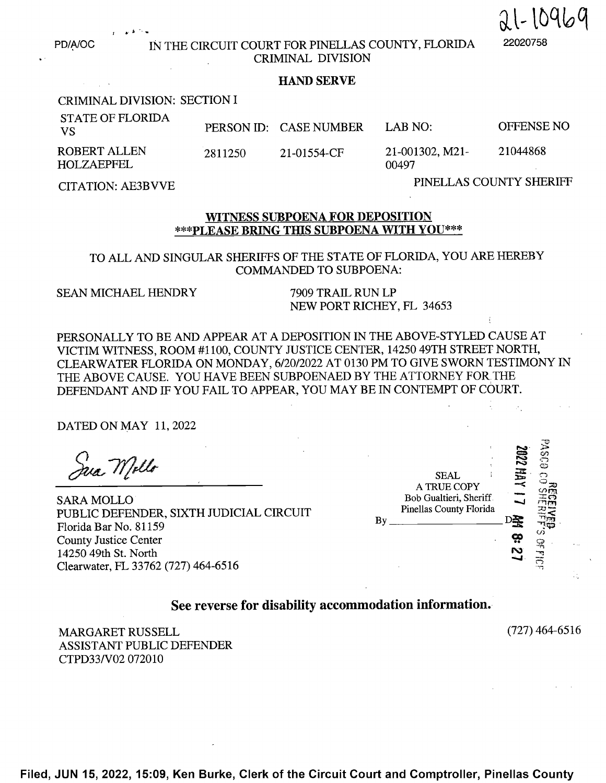PD/A/OC IN THE CIRCUIT COURT FOR PINELLAS COUNTY, FLORIDA CRIMINAL DIVISION

## . HAND SERVE

CRIMINAL DIVISION: SECTION <sup>1</sup>

| <b>STATE OF FLORIDA</b><br>- VS          |         | PERSON ID: CASE NUMBER | LAB NO $\cdot$           | OFFENSE NO |
|------------------------------------------|---------|------------------------|--------------------------|------------|
| <b>ROBERT ALLEN</b><br><b>HOLZAEPFEL</b> | 2811250 | 21-01554-CF            | 21-001302, M21-<br>00497 | 21044868   |

PINELLAS COUNTY SHERIFF CITATION: AE3BVVE

 $21 - 10969$ 

## WITNESS SUBPOENA FOR DEPOSITION \*\*\*PLEASE BRING THIS SUBPOENA WITH YOU\*\*\*

TO ALL AND SINGULAR SHERIFFS OF THE STATE OF FLORIDA, YOU ARE HEREBY COMMANDED TO SUBPOENA:

SEAN MICHAEL HENDRY 7909 TRAIL RUN LP<br>NEW PORT RICHEY, FL 34653

PERSONALLY TO BE AND APPEAR AT A DEPOSITION IN THE ABOVE-STYLED CAUSE AT VICTIM WITNESS, ROOM #1100, COUNTY JUSTICE CENTER, 14250 49TH STREET NORTH, CLEARWATER FLORIDA ON MONDAY, 6/20/2022 AT 0130 PM TO GIVE SWORN TESTIMONY IN THE ABOVE CAUSE. YOU HAVE BEEN SUBPOENAED BY THE ATTORNEY FOR THE DEFENDANT AND IF YOU FAIL TO APPEAR, YOU MAY BE IN CONTEMPT OF COURT.

DATED ON MAY 11, <sup>2022</sup>

Jua Mello

SARA MOLLO PUBLIC DEFENDER, SIXTH JUDICIAL CIRCUIT Florida Bar No. <sup>81</sup> <sup>159</sup> By DE 72\$ County Justice Center<br>
14250 49th St. North<br>
Cloenwtor El 33762 (727) 464 6516 14250 49th St. North Clearwater, FL 33762 (727) 464-6516

| H JUDICIAL CIRCUIT | By | <b>SEAL</b><br>A TRUE COPY<br>Bob Gualtieri, Sheriff<br>Pinellas County Florida | <b>SO22 HAY</b> | ت<br>حر<br>808<br>(A | $\sim$ 100 |
|--------------------|----|---------------------------------------------------------------------------------|-----------------|----------------------|------------|
| 64-6516            |    |                                                                                 | N               | پېد.                 |            |

 $\sim 10^{11}$ 

See reverse for disability accommodation information.-

MARGARET RUSSELL (727) 464-6516 ASSISTANT PUBLIC DEFENDER CTPD33/V02 072010

Filed, JUN 15, 2022, 15:09, Ken Burke, Clerk of the Circuit Court and Comptroller, Pinellas County